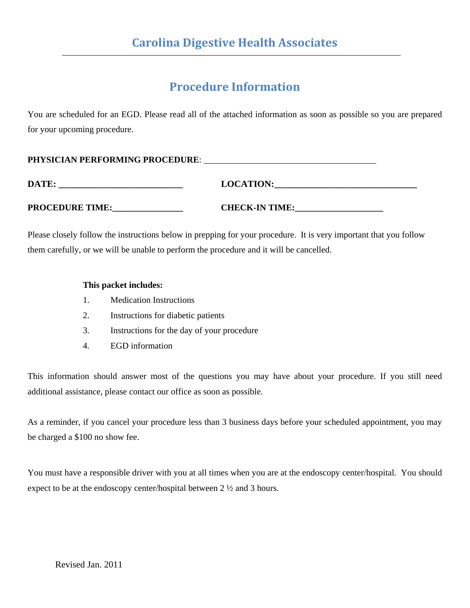# **Procedure Information**

You are scheduled for an EGD. Please read all of the attached information as soon as possible so you are prepared for your upcoming procedure.

| <b>PHYSICIAN PERFORMING PROCEDURE:</b> |  |
|----------------------------------------|--|
|                                        |  |

| DATE:                  | <b>LOCATION:</b>      |
|------------------------|-----------------------|
|                        |                       |
| <b>PROCEDURE TIME:</b> | <b>CHECK-IN TIME:</b> |

Please closely follow the instructions below in prepping for your procedure. It is very important that you follow them carefully, or we will be unable to perform the procedure and it will be cancelled.

### **This packet includes:**

- 1. Medication Instructions
- 2. Instructions for diabetic patients
- 3. Instructions for the day of your procedure
- 4. EGD information

This information should answer most of the questions you may have about your procedure. If you still need additional assistance, please contact our office as soon as possible.

As a reminder, if you cancel your procedure less than 3 business days before your scheduled appointment, you may be charged a \$100 no show fee.

You must have a responsible driver with you at all times when you are at the endoscopy center/hospital. You should expect to be at the endoscopy center/hospital between 2 ½ and 3 hours.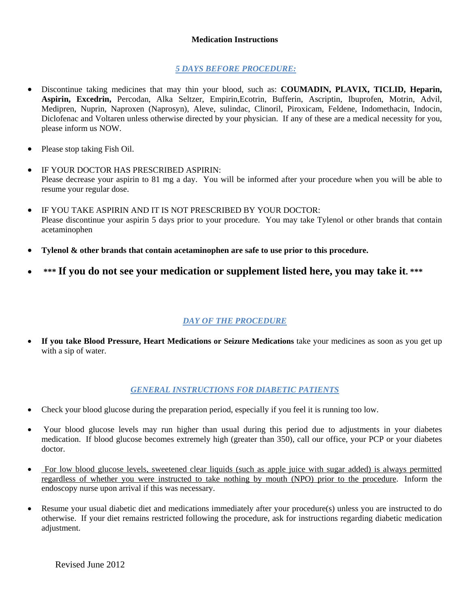#### **Medication Instructions**

#### *5 DAYS BEFORE PROCEDURE:*

- Discontinue taking medicines that may thin your blood, such as: **COUMADIN, PLAVIX, TICLID, Heparin, Aspirin, Excedrin,** Percodan, Alka Seltzer, Empirin,Ecotrin, Bufferin, Ascriptin, Ibuprofen, Motrin, Advil, Medipren, Nuprin, Naproxen (Naprosyn), Aleve, sulindac, Clinoril, Piroxicam, Feldene, Indomethacin, Indocin, Diclofenac and Voltaren unless otherwise directed by your physician. If any of these are a medical necessity for you, please inform us NOW.
- Please stop taking Fish Oil.
- IF YOUR DOCTOR HAS PRESCRIBED ASPIRIN: Please decrease your aspirin to 81 mg a day. You will be informed after your procedure when you will be able to resume your regular dose.
- IF YOU TAKE ASPIRIN AND IT IS NOT PRESCRIBED BY YOUR DOCTOR: Please discontinue your aspirin 5 days prior to your procedure. You may take Tylenol or other brands that contain acetaminophen
- **Tylenol & other brands that contain acetaminophen are safe to use prior to this procedure.**
- \*\*\* If you do not see your medication or supplement listed here, you may take it. \*\*\*

### *DAY OF THE PROCEDURE*

• **If you take Blood Pressure, Heart Medications or Seizure Medications** take your medicines as soon as you get up with a sip of water.

### *GENERAL INSTRUCTIONS FOR DIABETIC PATIENTS*

- Check your blood glucose during the preparation period, especially if you feel it is running too low.
- Your blood glucose levels may run higher than usual during this period due to adjustments in your diabetes medication. If blood glucose becomes extremely high (greater than 350), call our office, your PCP or your diabetes doctor.
- For low blood glucose levels, sweetened clear liquids (such as apple juice with sugar added) is always permitted regardless of whether you were instructed to take nothing by mouth (NPO) prior to the procedure. Inform the endoscopy nurse upon arrival if this was necessary.
- Resume your usual diabetic diet and medications immediately after your procedure(s) unless you are instructed to do otherwise. If your diet remains restricted following the procedure, ask for instructions regarding diabetic medication adjustment.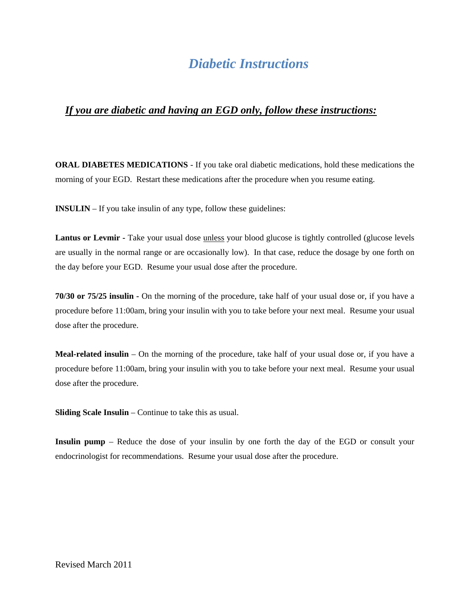# *Diabetic Instructions*

## *If you are diabetic and having an EGD only, follow these instructions:*

**ORAL DIABETES MEDICATIONS** - If you take oral diabetic medications, hold these medications the morning of your EGD. Restart these medications after the procedure when you resume eating.

**INSULIN** – If you take insulin of any type, follow these guidelines:

**Lantus or Levmir -** Take your usual dose unless your blood glucose is tightly controlled (glucose levels are usually in the normal range or are occasionally low). In that case, reduce the dosage by one forth on the day before your EGD. Resume your usual dose after the procedure.

**70/30 or 75/25 insulin -** On the morning of the procedure, take half of your usual dose or, if you have a procedure before 11:00am, bring your insulin with you to take before your next meal. Resume your usual dose after the procedure.

**Meal-related insulin** – On the morning of the procedure, take half of your usual dose or, if you have a procedure before 11:00am, bring your insulin with you to take before your next meal. Resume your usual dose after the procedure.

**Sliding Scale Insulin** – Continue to take this as usual.

**Insulin pump** – Reduce the dose of your insulin by one forth the day of the EGD or consult your endocrinologist for recommendations. Resume your usual dose after the procedure.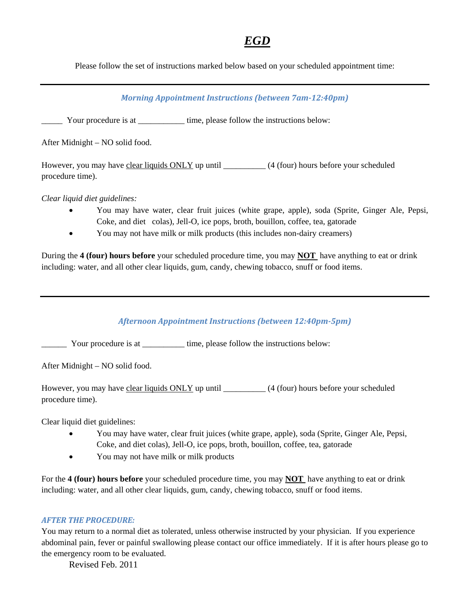# *EGD*

Please follow the set of instructions marked below based on your scheduled appointment time:

### *Morning Appointment Instructions (between 7am‐12:40pm)*

\_\_\_\_\_ Your procedure is at \_\_\_\_\_\_\_\_\_\_\_ time, please follow the instructions below:

After Midnight – NO solid food.

However, you may have clear liquids ONLY up until \_\_\_\_\_\_\_\_\_\_\_ (4 (four) hours before your scheduled procedure time).

*Clear liquid diet guidelines:* 

- You may have water, clear fruit juices (white grape, apple), soda (Sprite, Ginger Ale, Pepsi, Coke, and diet colas), Jell-O, ice pops, broth, bouillon, coffee, tea, gatorade
- You may not have milk or milk products (this includes non-dairy creamers)

During the **4 (four) hours before** your scheduled procedure time, you may **NOT** have anything to eat or drink including: water, and all other clear liquids, gum, candy, chewing tobacco, snuff or food items.

*Afternoon Appointment Instructions (between 12:40pm‐5pm)*

\_\_\_\_\_\_ Your procedure is at \_\_\_\_\_\_\_\_\_\_ time, please follow the instructions below:

After Midnight – NO solid food.

However, you may have clear liquids ONLY up until \_\_\_\_\_\_\_\_\_\_ (4 (four) hours before your scheduled procedure time).

Clear liquid diet guidelines:

- You may have water, clear fruit juices (white grape, apple), soda (Sprite, Ginger Ale, Pepsi, Coke, and diet colas), Jell-O, ice pops, broth, bouillon, coffee, tea, gatorade
- You may not have milk or milk products

For the **4 (four) hours before** your scheduled procedure time, you may **NOT** have anything to eat or drink including: water, and all other clear liquids, gum, candy, chewing tobacco, snuff or food items.

#### *AFTER THE PROCEDURE:*

You may return to a normal diet as tolerated, unless otherwise instructed by your physician. If you experience abdominal pain, fever or painful swallowing please contact our office immediately. If it is after hours please go to the emergency room to be evaluated.

Revised Feb. 2011